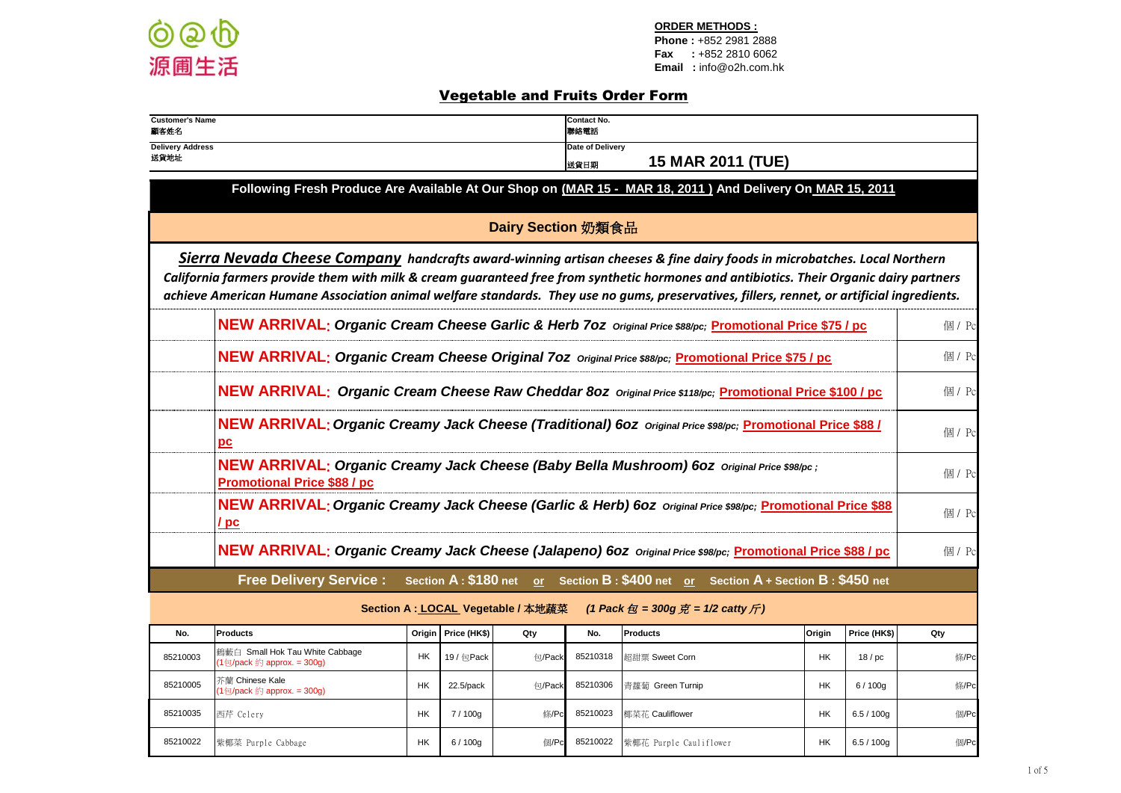

## Vegetable and Fruits Order Form

| <b>Customer's Name</b><br>顧客姓名                                                                                                                                                                                                                                                                                                                                                                                    |                                                                                                                                      |           |              |               | Contact No.<br>聯絡電話 |                                                                                                         |           |              |        |  |  |
|-------------------------------------------------------------------------------------------------------------------------------------------------------------------------------------------------------------------------------------------------------------------------------------------------------------------------------------------------------------------------------------------------------------------|--------------------------------------------------------------------------------------------------------------------------------------|-----------|--------------|---------------|---------------------|---------------------------------------------------------------------------------------------------------|-----------|--------------|--------|--|--|
| <b>Delivery Address</b><br>送貨地址                                                                                                                                                                                                                                                                                                                                                                                   | Date of Delivery<br><b>15 MAR 2011 (TUE)</b><br>送貨日期                                                                                 |           |              |               |                     |                                                                                                         |           |              |        |  |  |
| Following Fresh Produce Are Available At Our Shop on (MAR 15 - MAR 18, 2011) And Delivery On MAR 15, 2011                                                                                                                                                                                                                                                                                                         |                                                                                                                                      |           |              |               |                     |                                                                                                         |           |              |        |  |  |
| Dairy Section 奶類食品                                                                                                                                                                                                                                                                                                                                                                                                |                                                                                                                                      |           |              |               |                     |                                                                                                         |           |              |        |  |  |
| Sierra Nevada Cheese Company handcrafts award-winning artisan cheeses & fine dairy foods in microbatches. Local Northern<br>California farmers provide them with milk & cream guaranteed free from synthetic hormones and antibiotics. Their Organic dairy partners<br>achieve American Humane Association animal welfare standards. They use no gums, preservatives, fillers, rennet, or artificial ingredients. |                                                                                                                                      |           |              |               |                     |                                                                                                         |           |              |        |  |  |
| NEW ARRIVAL; Organic Cream Cheese Garlic & Herb 70z Original Price \$88/pc; Promotional Price \$75 / pc                                                                                                                                                                                                                                                                                                           |                                                                                                                                      |           |              |               |                     |                                                                                                         |           |              | 個 / Pc |  |  |
|                                                                                                                                                                                                                                                                                                                                                                                                                   | <b>NEW ARRIVAL: Organic Cream Cheese Original 702</b> Original Price \$88/pc; Promotional Price \$75 / pc                            |           |              |               |                     |                                                                                                         |           |              |        |  |  |
| NEW ARRIVAL: Organic Cream Cheese Raw Cheddar 80Z Original Price \$118/pc; Promotional Price \$100 / pc                                                                                                                                                                                                                                                                                                           |                                                                                                                                      |           |              |               |                     |                                                                                                         |           |              |        |  |  |
| NEW ARRIVAL: Organic Creamy Jack Cheese (Traditional) 60z Original Price \$98/pc; Promotional Price \$88 /<br>pс                                                                                                                                                                                                                                                                                                  |                                                                                                                                      |           |              |               |                     |                                                                                                         |           |              | 個 / Pc |  |  |
|                                                                                                                                                                                                                                                                                                                                                                                                                   | NEW ARRIVAL: Organic Creamy Jack Cheese (Baby Bella Mushroom) 60Z Original Price \$98/pc;<br><b>Promotional Price \$88 / pc</b>      |           |              |               |                     |                                                                                                         |           |              | 個 / Pc |  |  |
|                                                                                                                                                                                                                                                                                                                                                                                                                   | <b>NEW ARRIVAL: Organic Creamy Jack Cheese (Garlic &amp; Herb) 60Z</b> Original Price \$98/pc; Promotional Price \$88<br>$\sqrt{pc}$ |           |              |               |                     |                                                                                                         |           |              | 個 / Pc |  |  |
|                                                                                                                                                                                                                                                                                                                                                                                                                   | NEW ARRIVAL: Organic Creamy Jack Cheese (Jalapeno) 60Z Original Price \$98/pc; Promotional Price \$88 / pc                           |           |              |               |                     |                                                                                                         |           |              | 個 / Pc |  |  |
|                                                                                                                                                                                                                                                                                                                                                                                                                   |                                                                                                                                      |           |              |               |                     | Free Delivery Service: Section A: \$180 net or Section B: \$400 net or Section A + Section B: \$450 net |           |              |        |  |  |
|                                                                                                                                                                                                                                                                                                                                                                                                                   | (1 Pack $\oplus$ = 300g $\overline{\mathcal{H}}$ = 1/2 catty $\overline{\mathcal{H}}$ )<br>Section A : LOCAL Vegetable / 本地蔬菜        |           |              |               |                     |                                                                                                         |           |              |        |  |  |
| No.                                                                                                                                                                                                                                                                                                                                                                                                               | <b>Products</b>                                                                                                                      | Origin    | Price (HK\$) | Qty           | No.                 | Products                                                                                                | Origin    | Price (HK\$) | Qty    |  |  |
| 85210003                                                                                                                                                                                                                                                                                                                                                                                                          | 鶴藪白 Small Hok Tau White Cabbage<br>(1包/pack 約 approx. = 300g)                                                                        | <b>HK</b> | 19 / 包Pack   | <b>句/Pack</b> | 85210318            | 超甜粟 Sweet Corn                                                                                          | <b>HK</b> | 18/pc        | 條/Pc   |  |  |
| 85210005                                                                                                                                                                                                                                                                                                                                                                                                          | 芥蘭 Chinese Kale<br>$(1 \oplus$ /pack 約 approx. = 300g)                                                                               | НK        | 22.5/pack    | <b>句/Pack</b> | 85210306            | 青蘿蔔 Green Turnip                                                                                        | <b>HK</b> | 6/100q       | 條/Pc   |  |  |
| 85210035                                                                                                                                                                                                                                                                                                                                                                                                          | 西芹 Celery                                                                                                                            | НK        | 7/100g       | 條/Pc          | 85210023            | 椰菜花 Cauliflower                                                                                         | HK        | 6.5 / 100g   | 個/Pc   |  |  |
| 85210022                                                                                                                                                                                                                                                                                                                                                                                                          | 紫椰菜 Purple Cabbage                                                                                                                   | <b>HK</b> | 6/100q       | 個/Pc          | 85210022            | 紫椰花 Purple Cauliflower                                                                                  | HK.       | 6.5 / 100q   | 個/Pc   |  |  |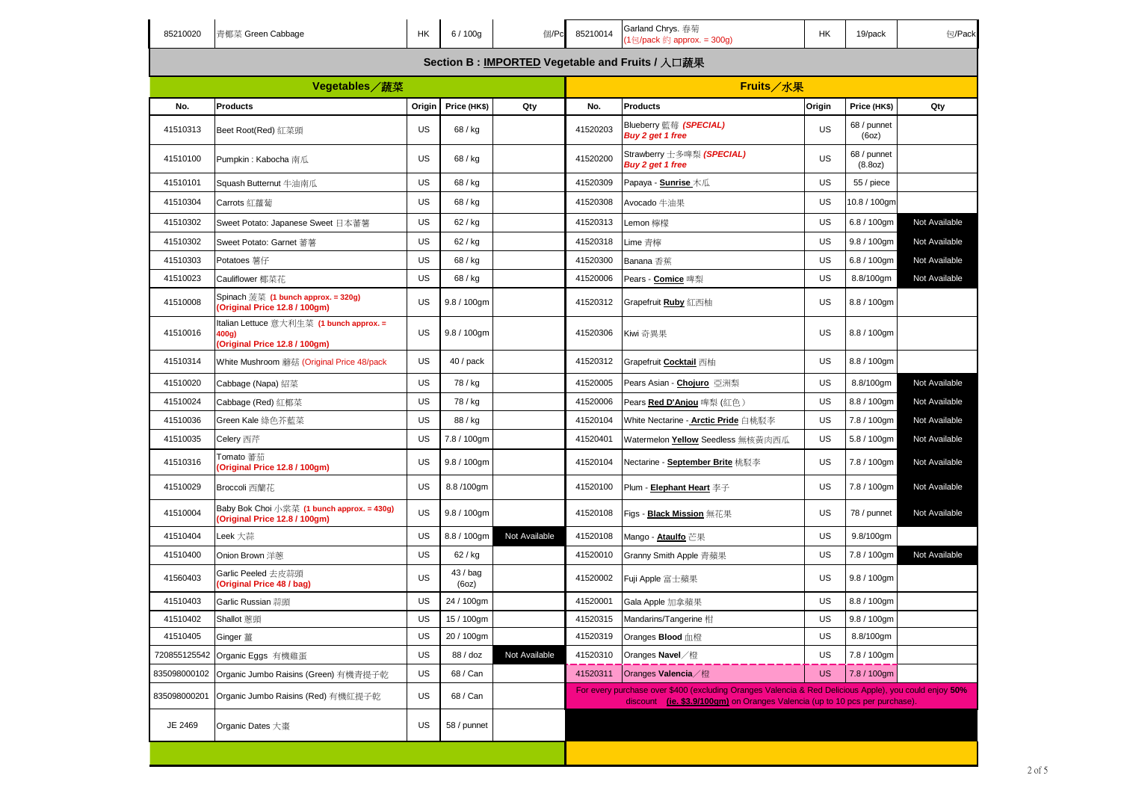| 85210020      | 青椰菜 Green Cabbage                                                                  | HK     | 6/100g            | 個/Pc                                            | 85210014 | Garland Chrys. 春菊<br>(1包/pack 約 approx. = 300g)                                                                                                                                     | HK        | 19/pack                | 包/Pack        |  |  |
|---------------|------------------------------------------------------------------------------------|--------|-------------------|-------------------------------------------------|----------|-------------------------------------------------------------------------------------------------------------------------------------------------------------------------------------|-----------|------------------------|---------------|--|--|
|               |                                                                                    |        |                   | Section B: IMPORTED Vegetable and Fruits / 入口蔬果 |          |                                                                                                                                                                                     |           |                        |               |  |  |
| Vegetables/蔬菜 |                                                                                    |        |                   |                                                 |          | Fruits/水果                                                                                                                                                                           |           |                        |               |  |  |
| No.           | <b>Products</b>                                                                    | Origin | Price (HK\$)      | Qty                                             | No.      | <b>Products</b>                                                                                                                                                                     | Origin    | Price (HK\$)           | Qty           |  |  |
| 41510313      | Beet Root(Red) 紅菜頭                                                                 | US     | 68 / kg           |                                                 | 41520203 | Blueberry 藍莓 (SPECIAL)<br>Buy 2 get 1 free                                                                                                                                          | <b>US</b> | 68 / punnet<br>(60z)   |               |  |  |
| 41510100      | Pumpkin: Kabocha 南瓜                                                                | US     | 68 / kg           |                                                 | 41520200 | Strawberry 士多啤梨 <i>(SPECIAL)</i><br>Buy 2 get 1 free                                                                                                                                | <b>US</b> | 68 / punnet<br>(8.8oz) |               |  |  |
| 41510101      | Squash Butternut 牛油南瓜                                                              | US     | 68 / kg           |                                                 | 41520309 | Papaya - <b>Sunrise</b> 木瓜                                                                                                                                                          | <b>US</b> | 55 / piece             |               |  |  |
| 41510304      | Carrots 紅蘿蔔                                                                        | US     | 68 / kg           |                                                 | 41520308 | Avocado 牛油果                                                                                                                                                                         | <b>US</b> | 10.8 / 100gm           |               |  |  |
| 41510302      | Sweet Potato: Japanese Sweet 日本蕃薯                                                  | US     | 62 / kg           |                                                 | 41520313 | Lemon 檸檬                                                                                                                                                                            | <b>US</b> | $6.8 / 100$ gm         | Not Available |  |  |
| 41510302      | Sweet Potato: Garnet 蕃薯                                                            | US     | 62 / kg           |                                                 | 41520318 | Lime 青檸                                                                                                                                                                             | US        | 9.8 / 100gm            | Not Available |  |  |
| 41510303      | Potatoes 薯仔                                                                        | US     | 68 / kg           |                                                 | 41520300 | Banana 香蕉                                                                                                                                                                           | <b>US</b> | 6.8 / 100gm            | Not Available |  |  |
| 41510023      | Cauliflower 椰菜花                                                                    | US     | 68 / kg           |                                                 | 41520006 | Pears - Comice 啤梨                                                                                                                                                                   | US        | 8.8/100gm              | Not Available |  |  |
| 41510008      | Spinach 菠菜 (1 bunch approx. = 320g)<br>(Original Price 12.8 / 100gm)               | US     | $9.8 / 100$ gm    |                                                 | 41520312 | Grapefruit <b>Ruby</b> 紅西柚                                                                                                                                                          | <b>US</b> | 8.8 / 100gm            |               |  |  |
| 41510016      | Italian Lettuce 意大利生菜 (1 bunch approx. =<br>400g)<br>(Original Price 12.8 / 100gm) | US     | $9.8 / 100$ gm    |                                                 | 41520306 | Kiwi 奇異果                                                                                                                                                                            | <b>US</b> | 8.8 / 100gm            |               |  |  |
| 41510314      | White Mushroom 蘑菇 (Original Price 48/pack                                          | US     | 40 / pack         |                                                 | 41520312 | Grapefruit Cocktail 西柚                                                                                                                                                              | US        | 8.8 / 100gm            |               |  |  |
| 41510020      | Cabbage (Napa) 紹菜                                                                  | US     | 78 / kg           |                                                 | 41520005 | Pears Asian - Chojuro 亞洲梨                                                                                                                                                           | US        | 8.8/100gm              | Not Available |  |  |
| 41510024      | Cabbage (Red) 紅椰菜                                                                  | US     | 78 / kg           |                                                 | 41520006 | Pears <u>Red D'Anjou</u> 啤梨 (紅色 )                                                                                                                                                   | US        | 8.8 / 100gm            | Not Available |  |  |
| 41510036      | Green Kale 綠色芥藍菜                                                                   | US     | 88 / kg           |                                                 | 41520104 | White Nectarine - <u>Arctic Pride</u> 白桃駁李                                                                                                                                          | US        | 7.8 / 100gm            | Not Available |  |  |
| 41510035      | Celery 西芹                                                                          | US     | 7.8 / 100gm       |                                                 | 41520401 | Watermelon Yellow Seedless 無核黃肉西瓜                                                                                                                                                   | US        | 5.8 / 100gm            | Not Available |  |  |
| 41510316      | Tomato 蕃茄<br>(Original Price 12.8 / 100gm)                                         | US     | $9.8 / 100$ gm    |                                                 | 41520104 | Nectarine - <b>September Brite</b> 桃駁李                                                                                                                                              | <b>US</b> | 7.8 / 100gm            | Not Available |  |  |
| 41510029      | Broccoli 西蘭花                                                                       | US     | 8.8/100gm         |                                                 | 41520100 | Plum - Elephant Heart 李子                                                                                                                                                            | <b>US</b> | 7.8 / 100gm            | Not Available |  |  |
| 41510004      | Baby Bok Choi 小棠菜 (1 bunch approx. = 430g)<br>(Original Price 12.8 / 100gm)        | US     | $9.8 / 100$ gm    |                                                 | 41520108 | Figs - Black Mission 無花果                                                                                                                                                            | <b>US</b> | 78 / punnet            | Not Available |  |  |
| 41510404      | Leek 大蒜                                                                            | US     | 8.8 / 100gm       | Not Available                                   | 41520108 | Mango - Ataulfo 芒果                                                                                                                                                                  | US        | 9.8/100gm              |               |  |  |
| 41510400      | Onion Brown 洋蔥                                                                     | US     | 62 / kg           |                                                 | 41520010 | Granny Smith Apple 青蘋果                                                                                                                                                              | <b>US</b> | 7.8 / 100gm            | Not Available |  |  |
| 41560403      | Garlic Peeled 去皮蒜頭<br>(Original Price 48 / bag)                                    | US     | 43 / bag<br>(6oz) |                                                 | 41520002 | Fuji Apple 富士蘋果                                                                                                                                                                     | <b>US</b> | $9.8 / 100$ gm         |               |  |  |
| 41510403      | Garlic Russian 蒜頭                                                                  | US     | 24 / 100gm        |                                                 | 41520001 | Gala Apple 加拿蘋果                                                                                                                                                                     | US        | 8.8 / 100gm            |               |  |  |
| 41510402      | Shallot 蔥頭                                                                         | US     | 15 / 100gm        |                                                 | 41520315 | Mandarins/Tangerine 柑                                                                                                                                                               | US        | 9.8 / 100gm            |               |  |  |
| 41510405      | Ginger 薑                                                                           | US     | 20 / 100gm        |                                                 | 41520319 | Oranges <b>Blood</b> 血橙                                                                                                                                                             | US        | 8.8/100gm              |               |  |  |
| 720855125542  | Organic Eggs 有機雞蛋                                                                  | US     | 88 / doz          | Not Available                                   | 41520310 | Oranges Navel /橙                                                                                                                                                                    | <b>US</b> | 7.8 / 100gm            |               |  |  |
| 835098000102  | Organic Jumbo Raisins (Green) 有機青提子乾                                               | US     | 68 / Can          |                                                 | 41520311 | Oranges Valencia / 橙                                                                                                                                                                | <b>US</b> | 7.8 / 100gm            |               |  |  |
| 835098000201  | Organic Jumbo Raisins (Red) 有機紅提子乾                                                 | US     | 68 / Can          |                                                 |          | For every purchase over \$400 (excluding Oranges Valencia & Red Delicious Apple), you could enjoy 50%<br>discount (ie. \$3.9/100gm) on Oranges Valencia (up to 10 pcs per purchase) |           |                        |               |  |  |
| JE 2469       | Organic Dates 大棗                                                                   | US     | 58 / punnet       |                                                 |          |                                                                                                                                                                                     |           |                        |               |  |  |
|               |                                                                                    |        |                   |                                                 |          |                                                                                                                                                                                     |           |                        |               |  |  |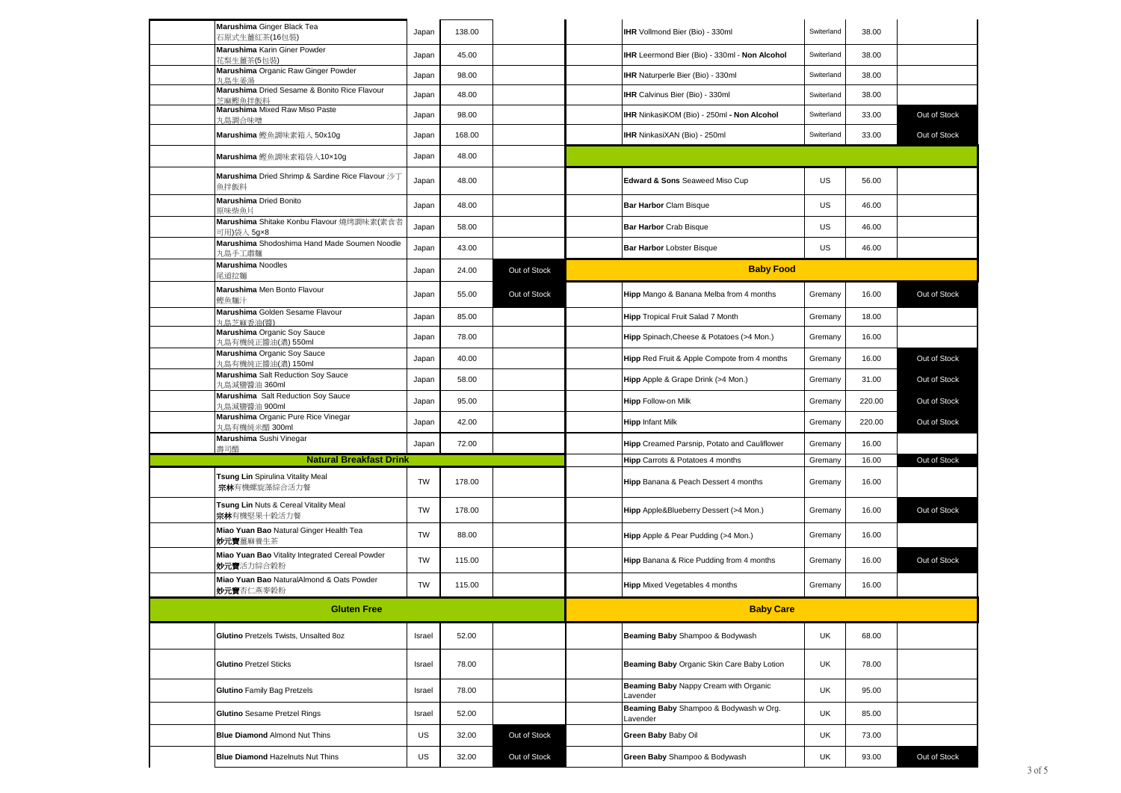| Marushima Ginger Black Tea<br>石原式生薑紅茶(16包裝)                          | Japan     | 138.00 |              | IHR Vollmond Bier (Bio) - 330ml                   | Switerland | 38.00  |              |
|----------------------------------------------------------------------|-----------|--------|--------------|---------------------------------------------------|------------|--------|--------------|
| Marushima Karin Giner Powder<br>花梨生薑茶(5包装)                           | Japan     | 45.00  |              | IHR Leermond Bier (Bio) - 330ml - Non Alcohol     | Switerland | 38.00  |              |
| Marushima Organic Raw Ginger Powder<br>丸鳥牛姜湯                         | Japan     | 98.00  |              | IHR Naturperle Bier (Bio) - 330ml                 | Switerland | 38.00  |              |
| Marushima Dried Sesame & Bonito Rice Flavour<br>岁麻鰹鱼拌飯料              | Japan     | 48.00  |              | IHR Calvinus Bier (Bio) - 330ml                   | Switerland | 38.00  |              |
| Marushima Mixed Raw Miso Paste<br>丸鳥調合味噌                             | Japan     | 98.00  |              | IHR NinkasiKOM (Bio) - 250ml - Non Alcohol        | Switerland | 33.00  | Out of Stock |
| Marushima 鰹魚調味素箱入 50x10g                                             | Japan     | 168.00 |              | IHR NinkasiXAN (Bio) - 250ml                      | Switerland | 33.00  | Out of Stock |
| Marushima 鰹魚調味素箱袋入10×10g                                             | Japan     | 48.00  |              |                                                   |            |        |              |
| Marushima Dried Shrimp & Sardine Rice Flavour 沙丁<br>魚拌飯料             | Japan     | 48.00  |              | Edward & Sons Seaweed Miso Cup                    | US         | 56.00  |              |
| Marushima Dried Bonito<br>原味柴魚片                                      | Japan     | 48.00  |              | <b>Bar Harbor Clam Bisque</b>                     | US         | 46.00  |              |
| Marushima Shitake Konbu Flavour 燒烤調味素(素食者<br>可用)袋人 5g×8              | Japan     | 58.00  |              | Bar Harbor Crab Bisque                            | US         | 46.00  |              |
| Marushima Shodoshima Hand Made Soumen Noodle<br>丸島手工肅麵               | Japan     | 43.00  |              | Bar Harbor Lobster Bisque                         | US         | 46.00  |              |
| <b>Marushima Noodles</b><br>尾道拉麵                                     | Japan     | 24.00  | Out of Stock | <b>Baby Food</b>                                  |            |        |              |
| Marushima Men Bonto Flavour<br>鰹魚麵汁                                  | Japan     | 55.00  | Out of Stock | Hipp Mango & Banana Melba from 4 months           | Gremany    | 16.00  | Out of Stock |
| Marushima Golden Sesame Flavour<br>丸鳥芝麻香油(醬)                         | Japan     | 85.00  |              | Hipp Tropical Fruit Salad 7 Month                 | Gremany    | 18.00  |              |
| Marushima Organic Soy Sauce<br>丸島有機純正醬油(濃) 550ml                     | Japan     | 78.00  |              | Hipp Spinach, Cheese & Potatoes (>4 Mon.)         | Gremany    | 16.00  |              |
| Marushima Organic Soy Sauce<br>丸島有機純正醬油(濃) 150ml                     | Japan     | 40.00  |              | Hipp Red Fruit & Apple Compote from 4 months      | Gremany    | 16.00  | Out of Stock |
| Marushima Salt Reduction Soy Sauce<br>丸島減鹽醬油 360ml                   | Japan     | 58.00  |              | Hipp Apple & Grape Drink (>4 Mon.)                | Gremany    | 31.00  | Out of Stock |
| Marushima Salt Reduction Soy Sauce<br>丸島減鹽醬油 900ml                   | Japan     | 95.00  |              | Hipp Follow-on Milk                               | Gremany    | 220.00 | Out of Stock |
| Marushima Organic Pure Rice Vinegar<br>丸島有機純米醋 300ml                 | Japan     | 42.00  |              | <b>Hipp Infant Milk</b>                           | Gremany    | 220.00 | Out of Stock |
| Marushima Sushi Vinegar<br>壽司醋                                       | Japan     | 72.00  |              | Hipp Creamed Parsnip, Potato and Cauliflower      | Gremany    | 16.00  |              |
| <b>Natural Breakfast Drink</b>                                       |           |        |              | Hipp Carrots & Potatoes 4 months                  | Gremany    | 16.00  | Out of Stock |
| Tsung Lin Spirulina Vitality Meal<br>宗林有機螺旋藻綜合活力餐                    | <b>TW</b> | 178.00 |              | Hipp Banana & Peach Dessert 4 months              | Gremany    | 16.00  |              |
| Tsung Lin Nuts & Cereal Vitality Meal<br>宗林有機堅果十穀活力餐                 | <b>TW</b> | 178.00 |              | Hipp Apple&Blueberry Dessert (>4 Mon.)            | Gremany    | 16.00  | Out of Stock |
| Miao Yuan Bao Natural Ginger Health Tea<br><b>妙元實</b> 薑麻養生茶          | TW        | 88.00  |              | Hipp Apple & Pear Pudding (>4 Mon.)               | Gremany    | 16.00  |              |
| Miao Yuan Bao Vitality Integrated Cereal Powder<br><b>妙元實</b> 活力綜合穀粉 | TW        | 115.00 |              | Hipp Banana & Rice Pudding from 4 months          | Gremany    | 16.00  | Out of Stock |
| Miao Yuan Bao NaturalAlmond & Oats Powder<br><b>妙元寶</b> 杏仁燕麥穀粉       | <b>TW</b> | 115.00 |              | <b>Hipp</b> Mixed Vegetables 4 months             | Gremany    | 16.00  |              |
| <b>Gluten Free</b>                                                   |           |        |              | <b>Baby Care</b>                                  |            |        |              |
| Glutino Pretzels Twists, Unsalted 8oz                                | Israel    | 52.00  |              | Beaming Baby Shampoo & Bodywash                   | UK         | 68.00  |              |
| <b>Glutino Pretzel Sticks</b>                                        | Israel    | 78.00  |              | Beaming Baby Organic Skin Care Baby Lotion        | <b>UK</b>  | 78.00  |              |
| <b>Glutino Family Bag Pretzels</b>                                   | Israel    | 78.00  |              | Beaming Baby Nappy Cream with Organic<br>Lavender | <b>UK</b>  | 95.00  |              |
| Glutino Sesame Pretzel Rings                                         | Israel    | 52.00  |              | Beaming Baby Shampoo & Bodywash w Org.            | <b>UK</b>  | 85.00  |              |
| <b>Blue Diamond Almond Nut Thins</b>                                 | US        | 32.00  | Out of Stock | Lavender<br>Green Baby Baby Oil                   | <b>UK</b>  | 73.00  |              |
| <b>Blue Diamond Hazelnuts Nut Thins</b>                              | US        | 32.00  | Out of Stock | Green Baby Shampoo & Bodywash                     | UK         | 93.00  | Out of Stock |
|                                                                      |           |        |              |                                                   |            |        |              |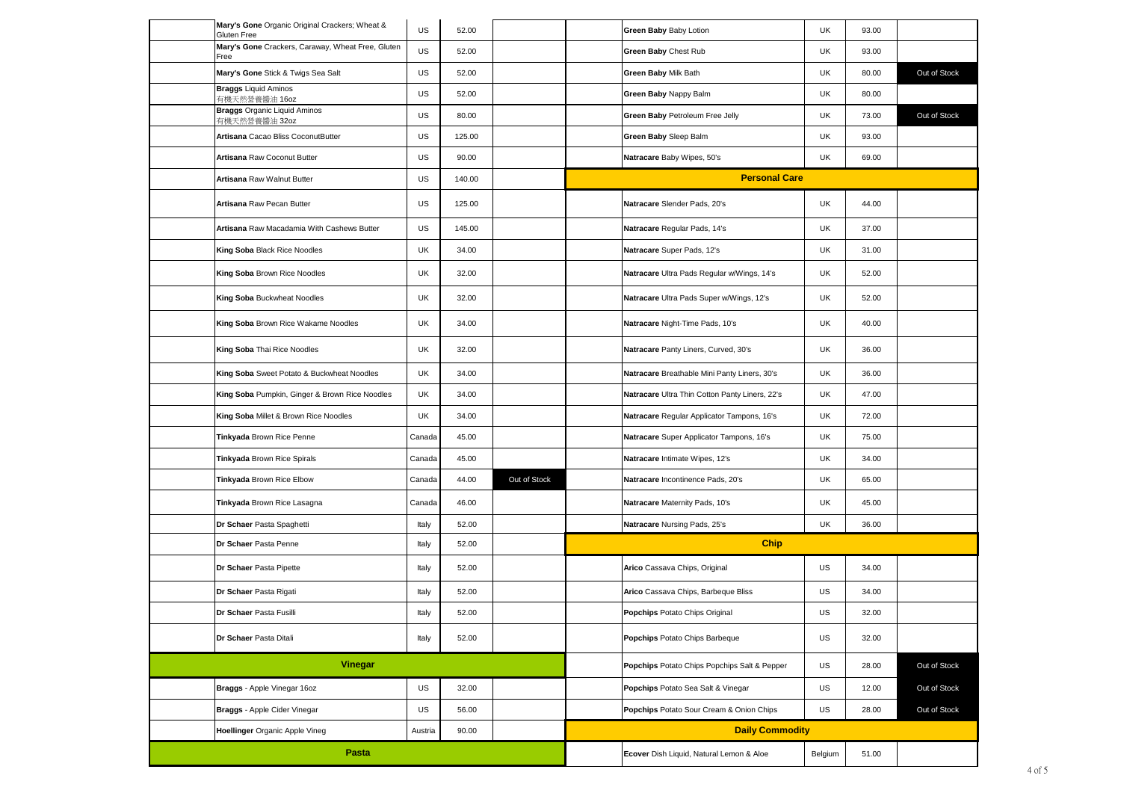|                | Mary's Gone Organic Original Crackers; Wheat &<br>Gluten Free | US      | 52.00  |                                              | Green Baby Baby Lotion                         | UK      | 93.00        |              |
|----------------|---------------------------------------------------------------|---------|--------|----------------------------------------------|------------------------------------------------|---------|--------------|--------------|
|                | Mary's Gone Crackers, Caraway, Wheat Free, Gluten<br>Free     | US      | 52.00  |                                              | Green Baby Chest Rub                           | UK      | 93.00        |              |
|                | Mary's Gone Stick & Twigs Sea Salt                            | US      | 52.00  |                                              | Green Baby Milk Bath                           | UK      | 80.00        | Out of Stock |
|                | <b>Braggs Liquid Aminos</b><br>有機天然營養醬油 16oz                  | US      | 52.00  |                                              | Green Baby Nappy Balm                          | UK      | 80.00        |              |
|                | <b>Braggs Organic Liquid Aminos</b><br>有機天然營養醬油 32oz          | US      | 80.00  |                                              | Green Baby Petroleum Free Jelly                | UK      | 73.00        | Out of Stock |
|                | Artisana Cacao Bliss CoconutButter                            | US      | 125.00 |                                              | Green Baby Sleep Balm                          | UK      | 93.00        |              |
|                | Artisana Raw Coconut Butter                                   | US      | 90.00  |                                              | Natracare Baby Wipes, 50's                     | UK      | 69.00        |              |
|                | Artisana Raw Walnut Butter                                    | US      | 140.00 |                                              | <b>Personal Care</b>                           |         |              |              |
|                | Artisana Raw Pecan Butter                                     | US      | 125.00 |                                              | Natracare Slender Pads, 20's                   | UK      | 44.00        |              |
|                | Artisana Raw Macadamia With Cashews Butter                    | US      | 145.00 |                                              | Natracare Regular Pads, 14's                   | UK      | 37.00        |              |
|                | King Soba Black Rice Noodles                                  | UK      | 34.00  |                                              | Natracare Super Pads, 12's                     | UK      | 31.00        |              |
|                | King Soba Brown Rice Noodles                                  | UK      | 32.00  |                                              | Natracare Ultra Pads Regular w/Wings, 14's     | UK      | 52.00        |              |
|                | King Soba Buckwheat Noodles                                   | UK      | 32.00  |                                              | Natracare Ultra Pads Super w/Wings, 12's       | UK      | 52.00        |              |
|                | King Soba Brown Rice Wakame Noodles                           | UK      | 34.00  |                                              | Natracare Night-Time Pads, 10's                | UK      | 40.00        |              |
|                | King Soba Thai Rice Noodles                                   | UK      | 32.00  |                                              | Natracare Panty Liners, Curved, 30's           | UK      | 36.00        |              |
|                | King Soba Sweet Potato & Buckwheat Noodles                    | UK      | 34.00  |                                              | Natracare Breathable Mini Panty Liners, 30's   | UK      | 36.00        |              |
|                | King Soba Pumpkin, Ginger & Brown Rice Noodles                | UK      | 34.00  |                                              | Natracare Ultra Thin Cotton Panty Liners, 22's | UK      | 47.00        |              |
|                | King Soba Millet & Brown Rice Noodles                         | UK      | 34.00  |                                              | Natracare Regular Applicator Tampons, 16's     | UK      | 72.00        |              |
|                | Tinkyada Brown Rice Penne                                     | Canada  | 45.00  |                                              | Natracare Super Applicator Tampons, 16's       | UK      | 75.00        |              |
|                | Tinkyada Brown Rice Spirals                                   | Canada  | 45.00  |                                              | Natracare Intimate Wipes, 12's                 | UK      | 34.00        |              |
|                | Tinkyada Brown Rice Elbow                                     | Canada  | 44.00  | Out of Stock                                 | Natracare Incontinence Pads, 20's              | UK      | 65.00        |              |
|                | Tinkyada Brown Rice Lasagna                                   | Canada  | 46.00  |                                              | Natracare Maternity Pads, 10's                 | UK      | 45.00        |              |
|                | Dr Schaer Pasta Spaghetti                                     | Italy   | 52.00  |                                              | Natracare Nursing Pads, 25's                   | UK      | 36.00        |              |
|                | Dr Schaer Pasta Penne                                         | Italy   | 52.00  |                                              | <b>Chip</b>                                    |         |              |              |
|                | Dr Schaer Pasta Pipette                                       | Italy   | 52.00  |                                              | Arico Cassava Chips, Original                  | US      | 34.00        |              |
|                | Dr Schaer Pasta Rigati                                        | Italy   | 52.00  |                                              | Arico Cassava Chips, Barbeque Bliss            | US      | 34.00        |              |
|                | Dr Schaer Pasta Fusilli                                       | Italy   | 52.00  |                                              | <b>Popchips Potato Chips Original</b>          | US      | 32.00        |              |
|                | Dr Schaer Pasta Ditali                                        | Italy   | 52.00  |                                              | Popchips Potato Chips Barbeque                 | US      | 32.00        |              |
| <b>Vinegar</b> |                                                               |         |        | Popchips Potato Chips Popchips Salt & Pepper | US                                             | 28.00   | Out of Stock |              |
|                | Braggs - Apple Vinegar 16oz                                   | US      | 32.00  |                                              | Popchips Potato Sea Salt & Vinegar             | US      | 12.00        | Out of Stock |
|                | Braggs - Apple Cider Vinegar                                  | US      | 56.00  |                                              | Popchips Potato Sour Cream & Onion Chips       | US      | 28.00        | Out of Stock |
|                | <b>Hoellinger Organic Apple Vineg</b>                         | Austria | 90.00  |                                              | <b>Daily Commodity</b>                         |         |              |              |
| Pasta          |                                                               |         |        |                                              | Ecover Dish Liquid, Natural Lemon & Aloe       | Belgium | 51.00        |              |